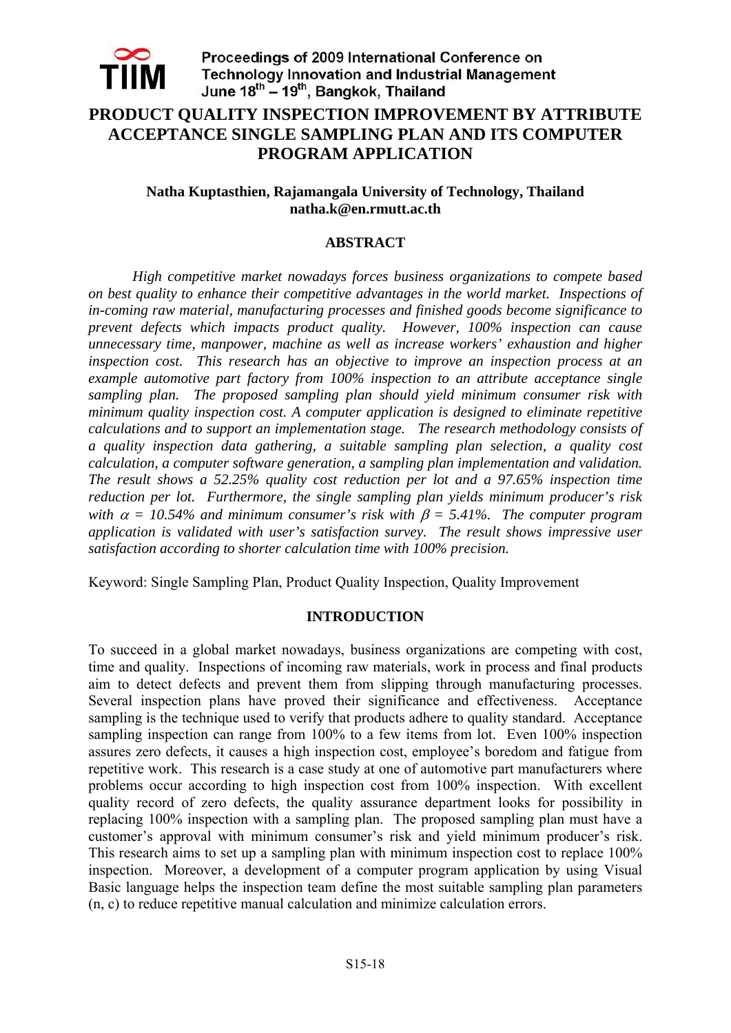

## **PRODUCT QUALITY INSPECTION IMPROVEMENT BY ATTRIBUTE ACCEPTANCE SINGLE SAMPLING PLAN AND ITS COMPUTER PROGRAM APPLICATION**

#### **Natha Kuptasthien, Rajamangala University of Technology, Thailand natha.k@en.rmutt.ac.th**

#### **ABSTRACT**

 *High competitive market nowadays forces business organizations to compete based on best quality to enhance their competitive advantages in the world market. Inspections of in-coming raw material, manufacturing processes and finished goods become significance to prevent defects which impacts product quality. However, 100% inspection can cause unnecessary time, manpower, machine as well as increase workers' exhaustion and higher inspection cost. This research has an objective to improve an inspection process at an example automotive part factory from 100% inspection to an attribute acceptance single sampling plan. The proposed sampling plan should yield minimum consumer risk with minimum quality inspection cost. A computer application is designed to eliminate repetitive calculations and to support an implementation stage. The research methodology consists of a quality inspection data gathering, a suitable sampling plan selection, a quality cost calculation, a computer software generation, a sampling plan implementation and validation. The result shows a 52.25% quality cost reduction per lot and a 97.65% inspection time reduction per lot. Furthermore, the single sampling plan yields minimum producer's risk with*  $\alpha = 10.54\%$  and minimum consumer's risk with  $\beta = 5.41\%$ . The computer program *application is validated with user's satisfaction survey. The result shows impressive user satisfaction according to shorter calculation time with 100% precision.* 

Keyword: Single Sampling Plan, Product Quality Inspection, Quality Improvement

#### **INTRODUCTION**

To succeed in a global market nowadays, business organizations are competing with cost, time and quality. Inspections of incoming raw materials, work in process and final products aim to detect defects and prevent them from slipping through manufacturing processes. Several inspection plans have proved their significance and effectiveness. Acceptance sampling is the technique used to verify that products adhere to quality standard. Acceptance sampling inspection can range from 100% to a few items from lot. Even 100% inspection assures zero defects, it causes a high inspection cost, employee's boredom and fatigue from repetitive work. This research is a case study at one of automotive part manufacturers where problems occur according to high inspection cost from 100% inspection. With excellent quality record of zero defects, the quality assurance department looks for possibility in replacing 100% inspection with a sampling plan. The proposed sampling plan must have a customer's approval with minimum consumer's risk and yield minimum producer's risk. This research aims to set up a sampling plan with minimum inspection cost to replace 100% inspection. Moreover, a development of a computer program application by using Visual Basic language helps the inspection team define the most suitable sampling plan parameters (n, c) to reduce repetitive manual calculation and minimize calculation errors.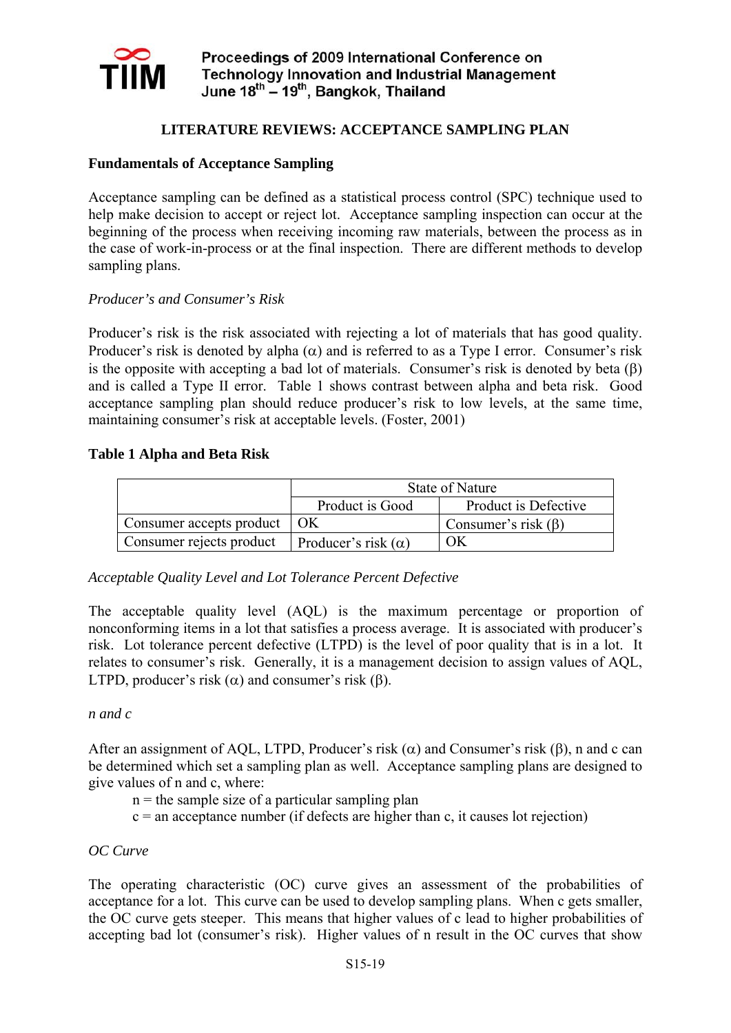

## **LITERATURE REVIEWS: ACCEPTANCE SAMPLING PLAN**

#### **Fundamentals of Acceptance Sampling**

Acceptance sampling can be defined as a statistical process control (SPC) technique used to help make decision to accept or reject lot. Acceptance sampling inspection can occur at the beginning of the process when receiving incoming raw materials, between the process as in the case of work-in-process or at the final inspection. There are different methods to develop sampling plans.

#### *Producer's and Consumer's Risk*

Producer's risk is the risk associated with rejecting a lot of materials that has good quality. Producer's risk is denoted by alpha  $(\alpha)$  and is referred to as a Type I error. Consumer's risk is the opposite with accepting a bad lot of materials. Consumer's risk is denoted by beta  $(\beta)$ and is called a Type II error. Table 1 shows contrast between alpha and beta risk. Good acceptance sampling plan should reduce producer's risk to low levels, at the same time, maintaining consumer's risk at acceptable levels. (Foster, 2001)

#### **Table 1 Alpha and Beta Risk**

|                          |                            | <b>State of Nature</b>    |
|--------------------------|----------------------------|---------------------------|
|                          | Product is Good            | Product is Defective      |
| Consumer accepts product | OK                         | Consumer's risk $(\beta)$ |
| Consumer rejects product | Producer's risk $(\alpha)$ | OК                        |

*Acceptable Quality Level and Lot Tolerance Percent Defective* 

The acceptable quality level (AQL) is the maximum percentage or proportion of nonconforming items in a lot that satisfies a process average. It is associated with producer's risk. Lot tolerance percent defective (LTPD) is the level of poor quality that is in a lot. It relates to consumer's risk. Generally, it is a management decision to assign values of AQL, LTPD, producer's risk  $(\alpha)$  and consumer's risk  $(\beta)$ .

#### *n and c*

After an assignment of AQL, LTPD, Producer's risk  $(\alpha)$  and Consumer's risk  $(\beta)$ , n and c can be determined which set a sampling plan as well. Acceptance sampling plans are designed to give values of n and c, where:

- $n =$  the sample size of a particular sampling plan
- $c =$  an acceptance number (if defects are higher than c, it causes lot rejection)

#### *OC Curve*

The operating characteristic (OC) curve gives an assessment of the probabilities of acceptance for a lot. This curve can be used to develop sampling plans. When c gets smaller, the OC curve gets steeper. This means that higher values of c lead to higher probabilities of accepting bad lot (consumer's risk). Higher values of n result in the OC curves that show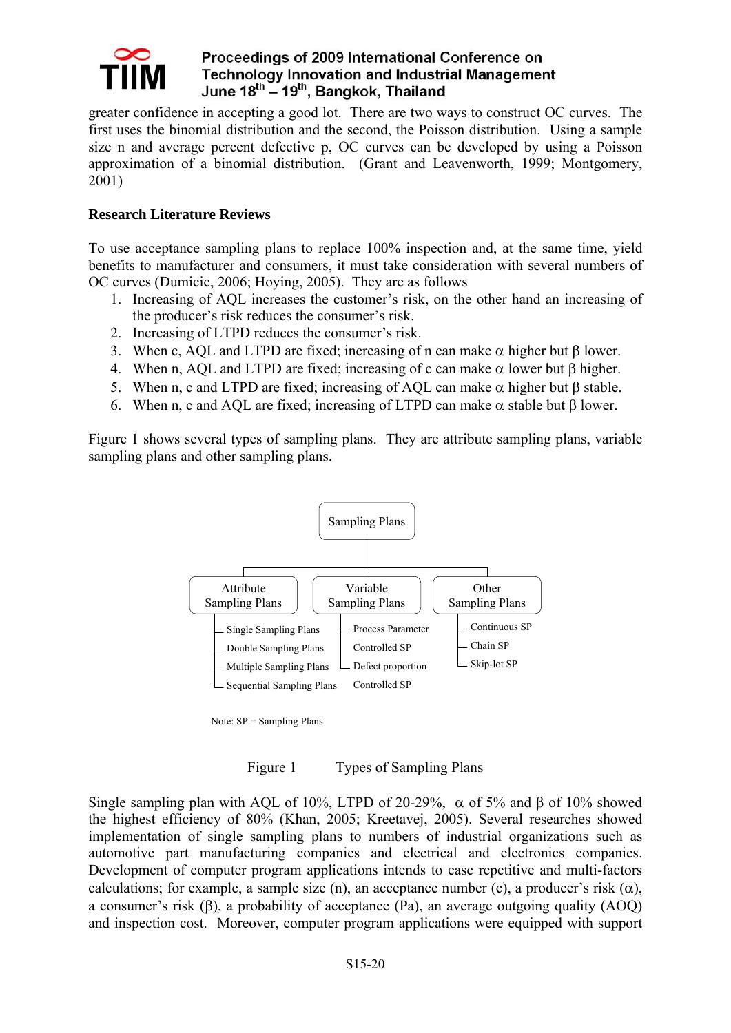

greater confidence in accepting a good lot. There are two ways to construct OC curves. The first uses the binomial distribution and the second, the Poisson distribution. Using a sample size n and average percent defective p, OC curves can be developed by using a Poisson approximation of a binomial distribution. (Grant and Leavenworth, 1999; Montgomery, 2001)

## **Research Literature Reviews**

To use acceptance sampling plans to replace 100% inspection and, at the same time, yield benefits to manufacturer and consumers, it must take consideration with several numbers of OC curves (Dumicic, 2006; Hoying, 2005). They are as follows

- 1. Increasing of AQL increases the customer's risk, on the other hand an increasing of the producer's risk reduces the consumer's risk.
- 2. Increasing of LTPD reduces the consumer's risk.
- 3. When c, AQL and LTPD are fixed; increasing of n can make  $\alpha$  higher but  $\beta$  lower.
- 4. When n, AQL and LTPD are fixed; increasing of c can make  $\alpha$  lower but  $\beta$  higher.
- 5. When n, c and LTPD are fixed; increasing of AOL can make  $\alpha$  higher but β stable.
- 6. When n, c and AQL are fixed; increasing of LTPD can make  $\alpha$  stable but  $\beta$  lower.

Figure 1 shows several types of sampling plans. They are attribute sampling plans, variable sampling plans and other sampling plans.



Note: SP = Sampling Plans

Figure 1 Types of Sampling Plans

Single sampling plan with AQL of 10%, LTPD of 20-29%,  $\alpha$  of 5% and  $\beta$  of 10% showed the highest efficiency of 80% (Khan, 2005; Kreetavej, 2005). Several researches showed implementation of single sampling plans to numbers of industrial organizations such as automotive part manufacturing companies and electrical and electronics companies. Development of computer program applications intends to ease repetitive and multi-factors calculations; for example, a sample size (n), an acceptance number (c), a producer's risk  $(\alpha)$ , a consumer's risk (β), a probability of acceptance (Pa), an average outgoing quality (AOQ) and inspection cost. Moreover, computer program applications were equipped with support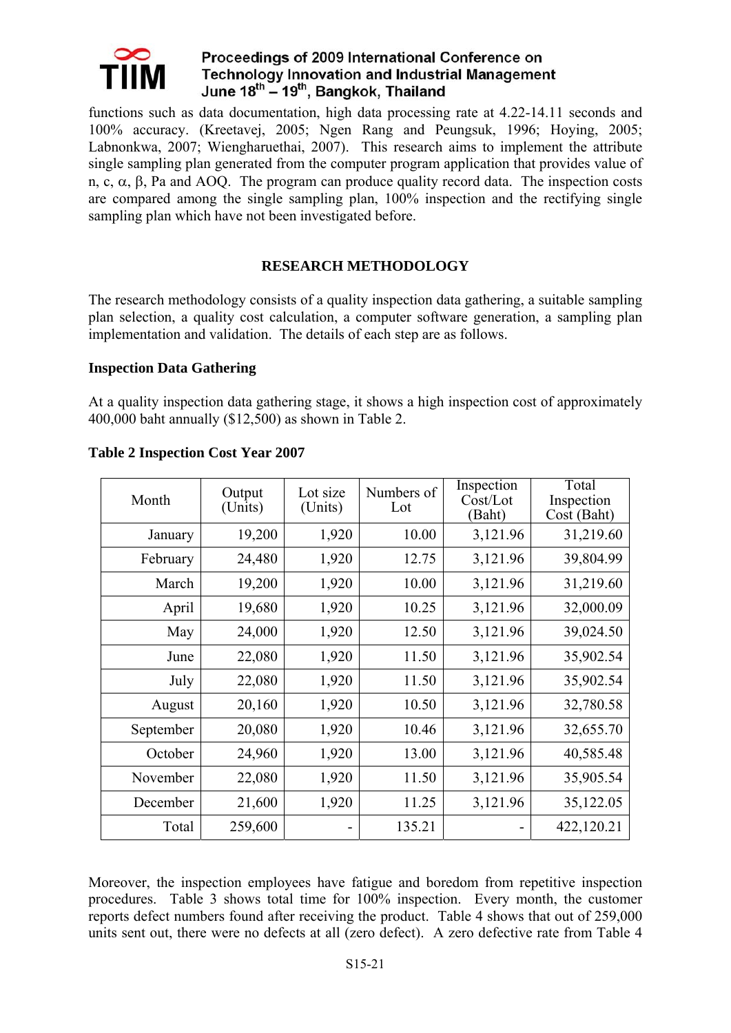

functions such as data documentation, high data processing rate at 4.22-14.11 seconds and 100% accuracy. (Kreetavej, 2005; Ngen Rang and Peungsuk, 1996; Hoying, 2005; Labnonkwa, 2007; Wiengharuethai, 2007). This research aims to implement the attribute single sampling plan generated from the computer program application that provides value of n, c,  $\alpha$ ,  $\beta$ , Pa and AOO. The program can produce quality record data. The inspection costs are compared among the single sampling plan, 100% inspection and the rectifying single sampling plan which have not been investigated before.

## **RESEARCH METHODOLOGY**

The research methodology consists of a quality inspection data gathering, a suitable sampling plan selection, a quality cost calculation, a computer software generation, a sampling plan implementation and validation. The details of each step are as follows.

#### **Inspection Data Gathering**

At a quality inspection data gathering stage, it shows a high inspection cost of approximately 400,000 baht annually (\$12,500) as shown in Table 2.

| Month     | Output<br>(Units) | Lot size<br>(Units) | Numbers of<br>Lot | Inspection<br>Cost/Lot<br>(Baht) | Total<br>Inspection<br>Cost (Baht) |
|-----------|-------------------|---------------------|-------------------|----------------------------------|------------------------------------|
| January   | 19,200            | 1,920               | 10.00             | 3,121.96                         | 31,219.60                          |
| February  | 24,480            | 1,920               | 12.75             | 3,121.96                         | 39,804.99                          |
| March     | 19,200            | 1,920               | 10.00             | 3,121.96                         | 31,219.60                          |
| April     | 19,680            | 1,920               | 10.25             | 3,121.96                         | 32,000.09                          |
| May       | 24,000            | 1,920               | 12.50             | 3,121.96                         | 39,024.50                          |
| June      | 22,080            | 1,920               | 11.50             | 3,121.96                         | 35,902.54                          |
| July      | 22,080            | 1,920               | 11.50             | 3,121.96                         | 35,902.54                          |
| August    | 20,160            | 1,920               | 10.50             | 3,121.96                         | 32,780.58                          |
| September | 20,080            | 1,920               | 10.46             | 3,121.96                         | 32,655.70                          |
| October   | 24,960            | 1,920               | 13.00             | 3,121.96                         | 40,585.48                          |
| November  | 22,080            | 1,920               | 11.50             | 3,121.96                         | 35,905.54                          |
| December  | 21,600            | 1,920               | 11.25             | 3,121.96                         | 35,122.05                          |
| Total     | 259,600           |                     | 135.21            |                                  | 422,120.21                         |

### **Table 2 Inspection Cost Year 2007**

Moreover, the inspection employees have fatigue and boredom from repetitive inspection procedures. Table 3 shows total time for 100% inspection. Every month, the customer reports defect numbers found after receiving the product. Table 4 shows that out of 259,000 units sent out, there were no defects at all (zero defect). A zero defective rate from Table 4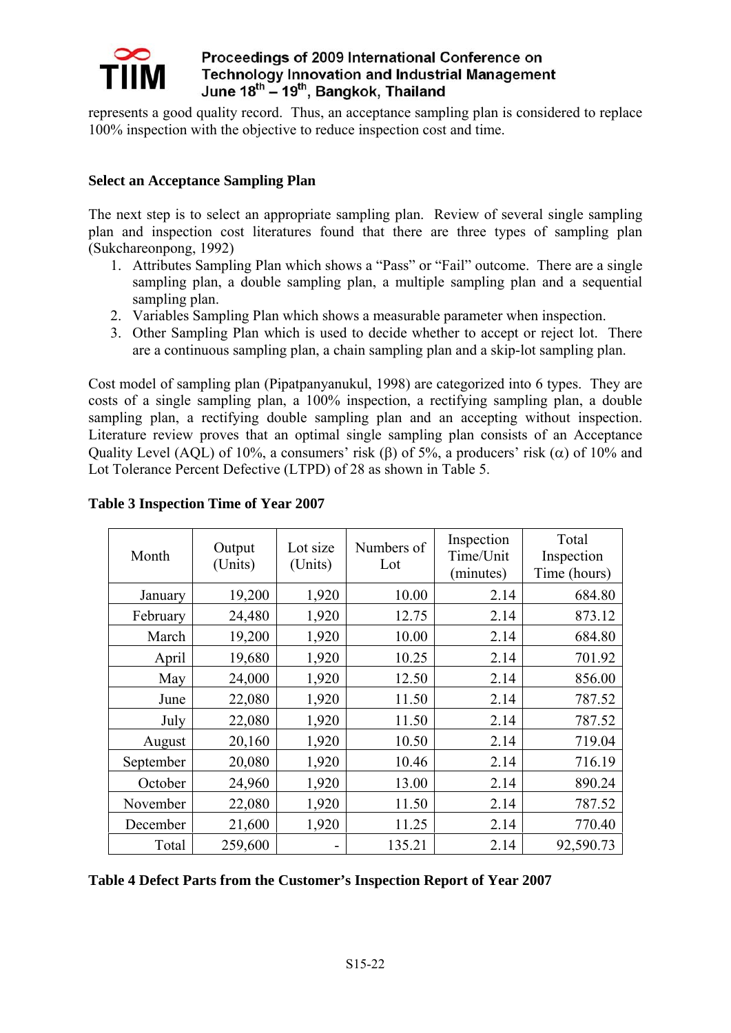

represents a good quality record. Thus, an acceptance sampling plan is considered to replace 100% inspection with the objective to reduce inspection cost and time.

### **Select an Acceptance Sampling Plan**

The next step is to select an appropriate sampling plan. Review of several single sampling plan and inspection cost literatures found that there are three types of sampling plan (Sukchareonpong, 1992)

- 1. Attributes Sampling Plan which shows a "Pass" or "Fail" outcome. There are a single sampling plan, a double sampling plan, a multiple sampling plan and a sequential sampling plan.
- 2. Variables Sampling Plan which shows a measurable parameter when inspection.
- 3. Other Sampling Plan which is used to decide whether to accept or reject lot. There are a continuous sampling plan, a chain sampling plan and a skip-lot sampling plan.

Cost model of sampling plan (Pipatpanyanukul, 1998) are categorized into 6 types. They are costs of a single sampling plan, a 100% inspection, a rectifying sampling plan, a double sampling plan, a rectifying double sampling plan and an accepting without inspection. Literature review proves that an optimal single sampling plan consists of an Acceptance Quality Level (AOL) of 10%, a consumers' risk (β) of 5%, a producers' risk (α) of 10% and Lot Tolerance Percent Defective (LTPD) of 28 as shown in Table 5.

| Month     | Output<br>(Units) | Lot size<br>(Units) | Numbers of<br>Lot | Inspection<br>Time/Unit<br>(minutes) | Total<br>Inspection<br>Time (hours) |
|-----------|-------------------|---------------------|-------------------|--------------------------------------|-------------------------------------|
| January   | 19,200            | 1,920               | 10.00             | 2.14                                 | 684.80                              |
| February  | 24,480            | 1,920               | 12.75             | 2.14                                 | 873.12                              |
| March     | 19,200            | 1,920               | 10.00             | 2.14                                 | 684.80                              |
| April     | 19,680            | 1,920               | 10.25             | 2.14                                 | 701.92                              |
| May       | 24,000            | 1,920               | 12.50             | 2.14                                 | 856.00                              |
| June      | 22,080            | 1,920               | 11.50             | 2.14                                 | 787.52                              |
| July      | 22,080            | 1,920               | 11.50             | 2.14                                 | 787.52                              |
| August    | 20,160            | 1,920               | 10.50             | 2.14                                 | 719.04                              |
| September | 20,080            | 1,920               | 10.46             | 2.14                                 | 716.19                              |
| October   | 24,960            | 1,920               | 13.00             | 2.14                                 | 890.24                              |
| November  | 22,080            | 1,920               | 11.50             | 2.14                                 | 787.52                              |
| December  | 21,600            | 1,920               | 11.25             | 2.14                                 | 770.40                              |
| Total     | 259,600           |                     | 135.21            | 2.14                                 | 92,590.73                           |

## **Table 3 Inspection Time of Year 2007**

### **Table 4 Defect Parts from the Customer's Inspection Report of Year 2007**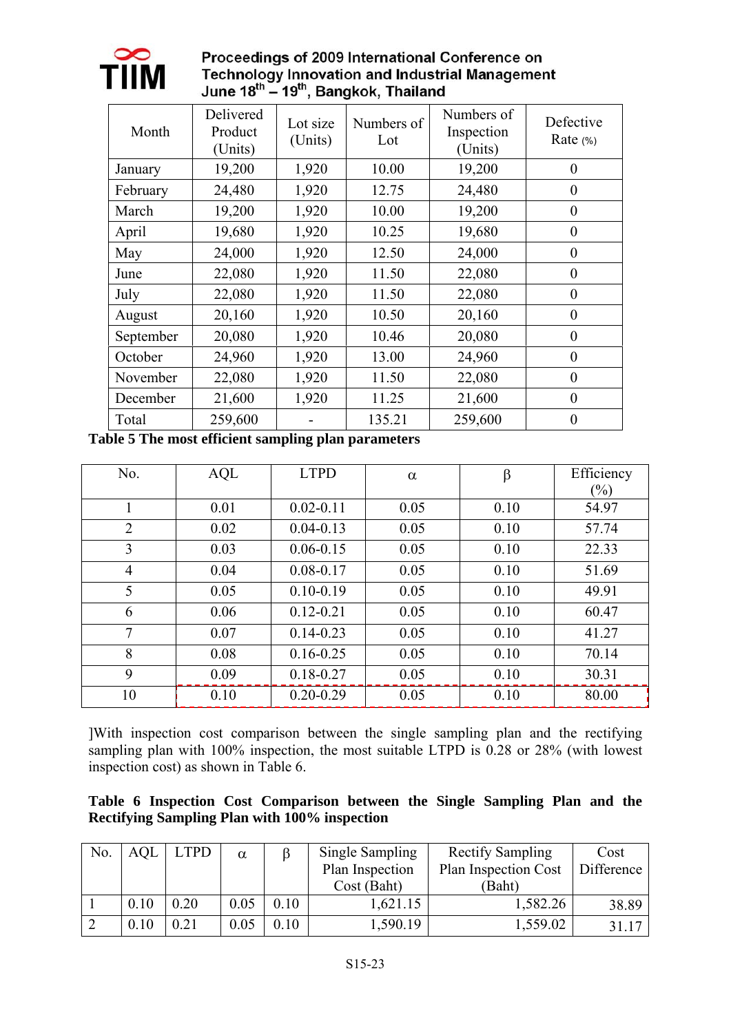

# Proceedings of 2009 International Conference on Technology Innovation and Industrial Management<br>June  $18^{th} - 19^{th}$ , Bangkok, Thailand

| Month     | Delivered<br>Product<br>(Units) | Lot size<br>(Units) | Numbers of<br>Lot | Numbers of<br>Inspection<br>(Units) | Defective<br>Rate $(*)$ |
|-----------|---------------------------------|---------------------|-------------------|-------------------------------------|-------------------------|
| January   | 19,200                          | 1,920               | 10.00             | 19,200                              | $\theta$                |
| February  | 24,480                          | 1,920               | 12.75             | 24,480                              | $\theta$                |
| March     | 19,200                          | 1,920               | 10.00             | 19,200                              | $\theta$                |
| April     | 19,680                          | 1,920               | 10.25             | 19,680                              | $\boldsymbol{0}$        |
| May       | 24,000                          | 1,920               | 12.50             | 24,000                              | $\theta$                |
| June      | 22,080                          | 1,920               | 11.50             | 22,080                              | $\theta$                |
| July      | 22,080                          | 1,920               | 11.50             | 22,080                              | $\theta$                |
| August    | 20,160                          | 1,920               | 10.50             | 20,160                              | $\overline{0}$          |
| September | 20,080                          | 1,920               | 10.46             | 20,080                              | $\theta$                |
| October   | 24,960                          | 1,920               | 13.00             | 24,960                              | $\theta$                |
| November  | 22,080                          | 1,920               | 11.50             | 22,080                              | $\theta$                |
| December  | 21,600                          | 1,920               | 11.25             | 21,600                              | $\boldsymbol{0}$        |
| Total     | 259,600                         |                     | 135.21            | 259,600                             | $\theta$                |

**Table 5 The most efficient sampling plan parameters** 

| No.            | AQL  | <b>LTPD</b>   | $\alpha$ | $\beta$ | Efficiency |
|----------------|------|---------------|----------|---------|------------|
|                |      |               |          |         | $(\%)$     |
|                | 0.01 | $0.02 - 0.11$ | 0.05     | 0.10    | 54.97      |
| $\overline{2}$ | 0.02 | $0.04 - 0.13$ | 0.05     | 0.10    | 57.74      |
| 3              | 0.03 | $0.06 - 0.15$ | 0.05     | 0.10    | 22.33      |
| $\overline{4}$ | 0.04 | $0.08 - 0.17$ | 0.05     | 0.10    | 51.69      |
| 5              | 0.05 | $0.10 - 0.19$ | 0.05     | 0.10    | 49.91      |
| 6              | 0.06 | $0.12 - 0.21$ | 0.05     | 0.10    | 60.47      |
| 7              | 0.07 | $0.14 - 0.23$ | 0.05     | 0.10    | 41.27      |
| 8              | 0.08 | $0.16 - 0.25$ | 0.05     | 0.10    | 70.14      |
| 9              | 0.09 | $0.18 - 0.27$ | 0.05     | 0.10    | 30.31      |
| 10             | 0.10 | $0.20 - 0.29$ | 0.05     | 0.10    | 80.00      |

]With inspection cost comparison between the single sampling plan and the rectifying sampling plan with 100% inspection, the most suitable LTPD is  $0.28$  or 28% (with lowest inspection cost) as shown in Table 6.

|  |  | Table 6 Inspection Cost Comparison between the Single Sampling Plan and the |  |  |  |  |
|--|--|-----------------------------------------------------------------------------|--|--|--|--|
|  |  | <b>Rectifying Sampling Plan with 100% inspection</b>                        |  |  |  |  |

| No. | <b>AQL</b> | LTPD | $\alpha$ |      | Single Sampling | <b>Rectify Sampling</b>     | Cost       |
|-----|------------|------|----------|------|-----------------|-----------------------------|------------|
|     |            |      |          |      | Plan Inspection | <b>Plan Inspection Cost</b> | Difference |
|     |            |      |          |      | Cost (Baht)     | (Baht)                      |            |
|     | 0.10       | 0.20 | 0.05     | 0.10 | 1,621.15        | 1,582.26                    | 38.89      |
|     | 0.10       | 0.21 | 0.05     | 0.10 | 1,590.19        | 1,559.02                    | 31 17      |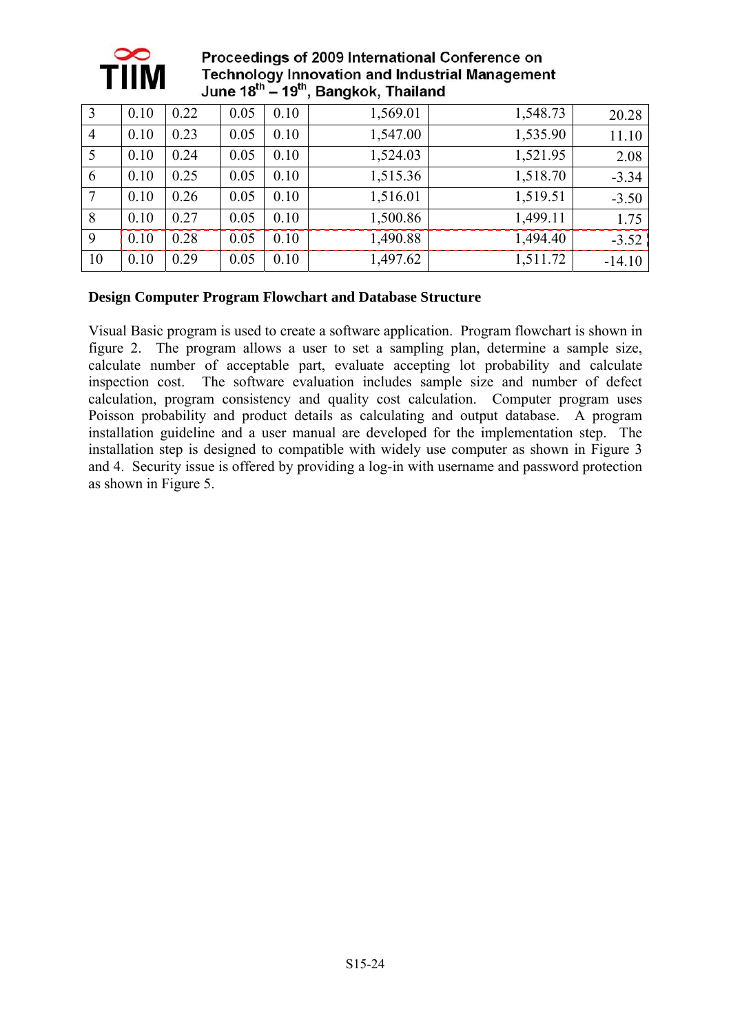

| 3              | 0.10 | 0.22 | 0.05 | 0.10 | 1,569.01 | 1,548.73 | 20.28    |
|----------------|------|------|------|------|----------|----------|----------|
| $\overline{4}$ | 0.10 | 0.23 | 0.05 | 0.10 | 1,547.00 | 1,535.90 | 11.10    |
| 5              | 0.10 | 0.24 | 0.05 | 0.10 | 1,524.03 | 1,521.95 | 2.08     |
| 6              | 0.10 | 0.25 | 0.05 | 0.10 | 1,515.36 | 1,518.70 | $-3.34$  |
| $\overline{7}$ | 0.10 | 0.26 | 0.05 | 0.10 | 1,516.01 | 1,519.51 | $-3.50$  |
| 8              | 0.10 | 0.27 | 0.05 | 0.10 | 1,500.86 | 1,499.11 | 1.75     |
| 9              | 0.10 | 0.28 | 0.05 | 0.10 | 1,490.88 | 1,494.40 | $-3.52$  |
| 10             | 0.10 | 0.29 | 0.05 | 0.10 | 1,497.62 | 1,511.72 | $-14.10$ |

## **Design Computer Program Flowchart and Database Structure**

Visual Basic program is used to create a software application. Program flowchart is shown in figure 2. The program allows a user to set a sampling plan, determine a sample size, calculate number of acceptable part, evaluate accepting lot probability and calculate inspection cost. The software evaluation includes sample size and number of defect calculation, program consistency and quality cost calculation. Computer program uses Poisson probability and product details as calculating and output database. A program installation guideline and a user manual are developed for the implementation step. The installation step is designed to compatible with widely use computer as shown in Figure 3 and 4. Security issue is offered by providing a log-in with username and password protection as shown in Figure 5.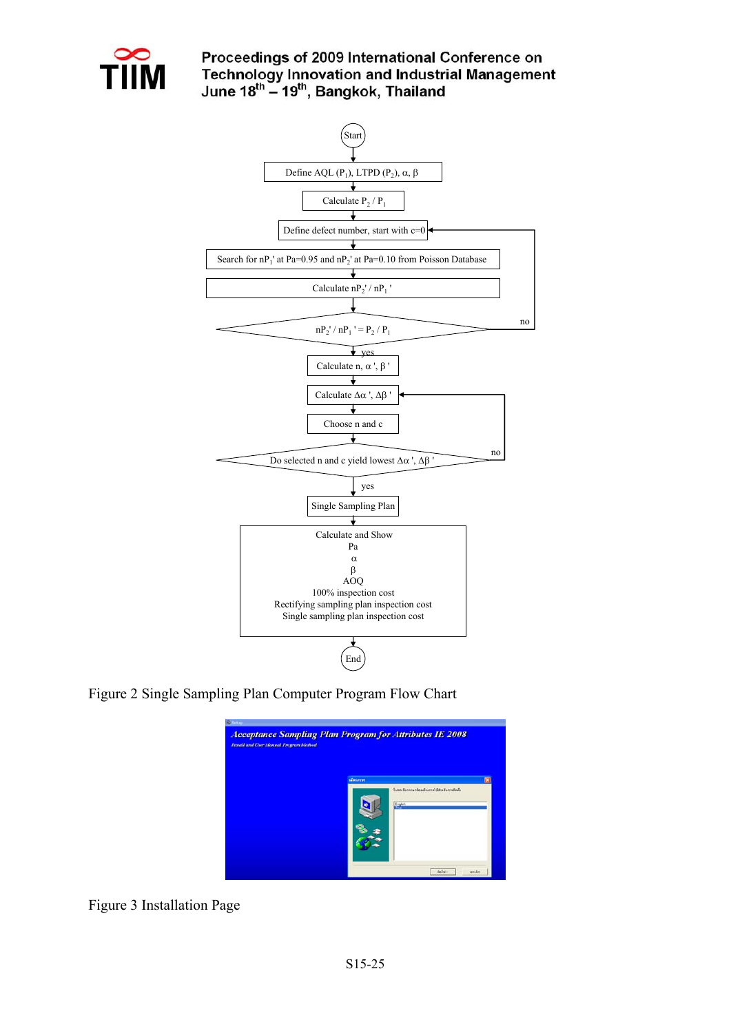

## Proceedings of 2009 International Conference on Technology Innovation and Industrial Management<br>June  $18^{\text{th}} - 19^{\text{th}}$ , Bangkok, Thailand



Figure 2 Single Sampling Plan Computer Program Flow Chart



Figure 3 Installation Page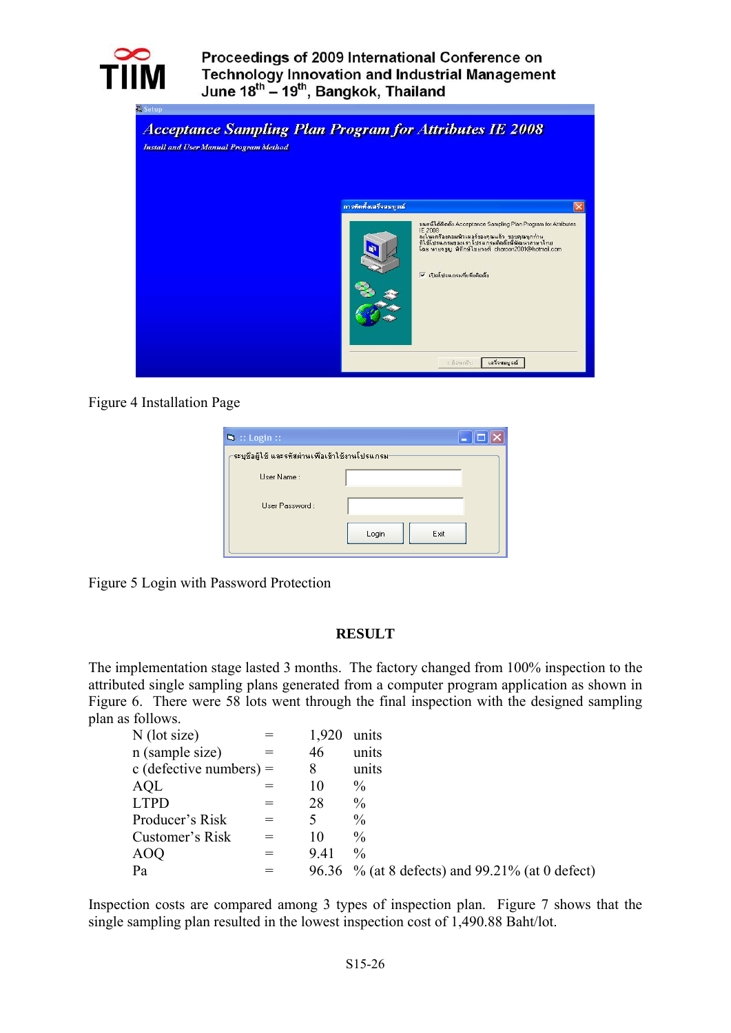



### Figure 4 Installation Page

| $\blacksquare$ : Login ::                         | H             |
|---------------------------------------------------|---------------|
| -ระบุชื่อผู้ใช้ และรหัสผ่านเพื่อเข้าใช้งานโปรแกรม |               |
| User Name:                                        |               |
| Liser Password:                                   |               |
|                                                   | Login<br>Exit |

Figure 5 Login with Password Protection

#### **RESULT**

The implementation stage lasted 3 months. The factory changed from 100% inspection to the attributed single sampling plans generated from a computer program application as shown in Figure 6. There were 58 lots went through the final inspection with the designed sampling plan as follows.

| $N$ (lot size)          |     | 1,920 | units                                           |
|-------------------------|-----|-------|-------------------------------------------------|
| n (sample size)         |     | 46    | units                                           |
| c (defective numbers) = |     | 8     | units                                           |
| <b>AQL</b>              |     | 10    | $\frac{0}{0}$                                   |
| <b>LTPD</b>             | $=$ | 28    | $\frac{0}{0}$                                   |
| Producer's Risk         | $=$ |       | $\frac{0}{0}$                                   |
| Customer's Risk         | $=$ | 10    | $\frac{0}{0}$                                   |
| <b>AOQ</b>              | $=$ | 9.41  | $\frac{0}{0}$                                   |
| Pa                      | $=$ |       | 96.36 % (at 8 defects) and 99.21% (at 0 defect) |

Inspection costs are compared among 3 types of inspection plan. Figure 7 shows that the single sampling plan resulted in the lowest inspection cost of 1,490.88 Baht/lot.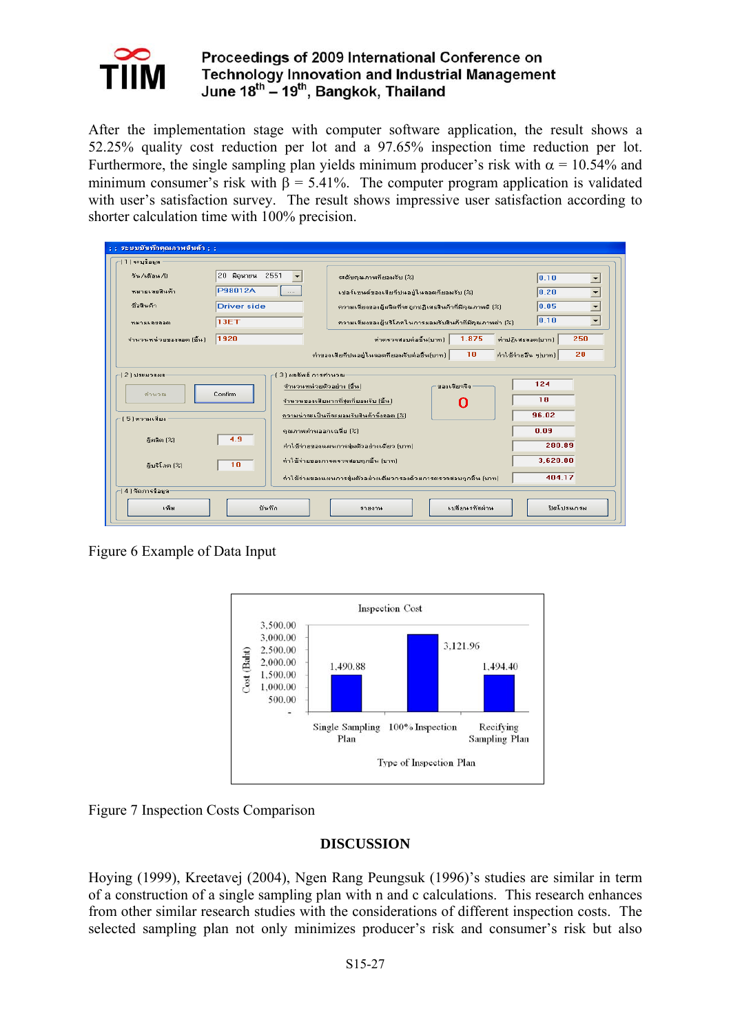

After the implementation stage with computer software application, the result shows a 52.25% quality cost reduction per lot and a 97.65% inspection time reduction per lot. Furthermore, the single sampling plan yields minimum producer's risk with  $\alpha$  = 10.54% and minimum consumer's risk with  $\beta = 5.41\%$ . The computer program application is validated with user's satisfaction survey. The result shows impressive user satisfaction according to shorter calculation time with 100% precision.

| : : ระบบบันทึกคณภาพสินค้า : :                                                                                                                                                                                                                                                                                                                                                                                                                                                                                       |                                                   |                                                                                                |  |  |  |  |
|---------------------------------------------------------------------------------------------------------------------------------------------------------------------------------------------------------------------------------------------------------------------------------------------------------------------------------------------------------------------------------------------------------------------------------------------------------------------------------------------------------------------|---------------------------------------------------|------------------------------------------------------------------------------------------------|--|--|--|--|
| 1 1   ระบุข้อมูล                                                                                                                                                                                                                                                                                                                                                                                                                                                                                                    |                                                   |                                                                                                |  |  |  |  |
| วัน /เดือน /ปี                                                                                                                                                                                                                                                                                                                                                                                                                                                                                                      | 20 มิลนายน 2551                                   | ระดับคุณภาพที่ยอมรับ [%]<br>0.10<br>≛                                                          |  |  |  |  |
| หมายเลขสินค้า                                                                                                                                                                                                                                                                                                                                                                                                                                                                                                       | P98012A<br>$\cdots$                               | $\overline{\phantom{a}}$<br>0.20<br>เปลร์เซนต์ของเสียที่ปนอย่ในลอตที่ยอมรับ (%)                |  |  |  |  |
| ชื่อสินค้า                                                                                                                                                                                                                                                                                                                                                                                                                                                                                                          | <b>Driver side</b>                                | $\overline{\phantom{a}}$<br>10.05<br>ความเสี่ยงของผู้ผลิตที่จะถูกปฏิเสธสินค้าที่มีคุณภาพดี (%) |  |  |  |  |
| ารมามเลขลอด                                                                                                                                                                                                                                                                                                                                                                                                                                                                                                         | 13ET                                              | 0.10<br>$\overline{\phantom{a}}$<br>ความเสี่ยงของผู้บริโภคในการยอมรับสินค้าที่มีคุณภาพต่ำ (%)  |  |  |  |  |
| จำนวนหน่วยของลอต (ชิ้น)                                                                                                                                                                                                                                                                                                                                                                                                                                                                                             | 1920                                              | 1.875<br>250<br>ค่าตรวจสอบต่อชิ้นไบาทไ<br>ค่าปฏิเสธลอต(บาท)                                    |  |  |  |  |
| 20<br>$10$<br>ค่าใช้จ่ายอื่น ๆ(บาท)<br>ค่าของเสียที่ปนอยู่ในลอตที่ยอมรับต่อชิ้น[บาท]                                                                                                                                                                                                                                                                                                                                                                                                                                |                                                   |                                                                                                |  |  |  |  |
| -13 ไ ผลลัพธ์ การคำนวณ-<br>-12 โประมวลผล<br>124<br>จำนวนหน่วยตัวอย่าง (ชิ้น)<br>ของเสียจริง<br>Confirm<br>คำนวณ<br>18<br>จำนวนของเสียมากที่สุดที่ยอมรับ (ชิ้น)<br>96.02<br>ความน่าจะเป็นที่จะยอมรับสินค้าทั้งลอต [%]<br>15 โความเสี่ยง<br>0.09<br>คุณภาพผ่านออกเฉลี่ย (%)<br>4.9<br>ผู้ผลิต [%]<br>280.89<br>ค่าใช้จ่ายของแผนการส่มตัวอย่างเดี่ยว (บาท)<br>3,620.00<br>ค่าใช้จ่ายของการตรวจสอบทุกชิ้น (บาท)<br>10<br>ผับริโภค [%]<br>404.17<br>ท่าใช้จ่ายของแผนการชุ่มตัวอย่างเดี่ยวกรองด้วยการตรวจขอบทุกชิ้น (บาท) |                                                   |                                                                                                |  |  |  |  |
| ∕ (4 ) จัดการข้อมูล⊤                                                                                                                                                                                                                                                                                                                                                                                                                                                                                                |                                                   |                                                                                                |  |  |  |  |
| เพิ่ม                                                                                                                                                                                                                                                                                                                                                                                                                                                                                                               | ปิดโปรแกรม<br>เปลี่ยนรหัสผ่าน<br>บันทึก<br>518319 |                                                                                                |  |  |  |  |

Figure 6 Example of Data Input





## **DISCUSSION**

Hoying (1999), Kreetavej (2004), Ngen Rang Peungsuk (1996)'s studies are similar in term of a construction of a single sampling plan with n and c calculations. This research enhances from other similar research studies with the considerations of different inspection costs. The selected sampling plan not only minimizes producer's risk and consumer's risk but also